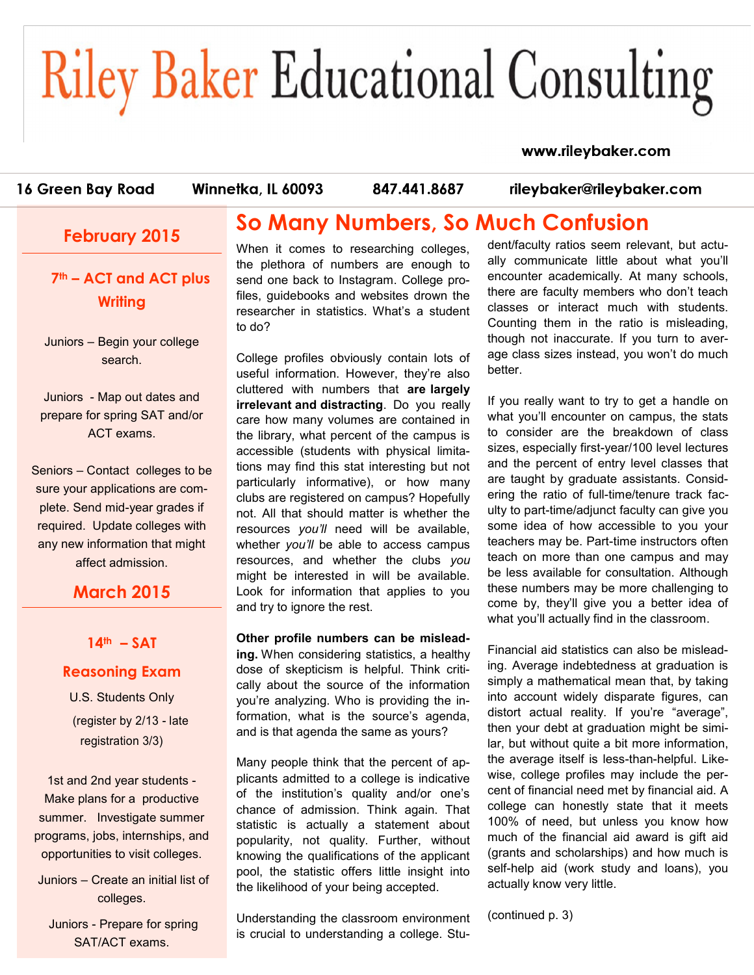# **Riley Baker Educational Consulting**

#### www.rileybaker.com

16 Green Bay Road

Winnetka, IL 60093

847.441.8687

rileybaker@rileybaker.com

## **February 2015**

**7th – ACT and ACT plus Writing** 

Juniors – Begin your college search.

Juniors - Map out dates and prepare for spring SAT and/or ACT exams.

Seniors – Contact colleges to be sure your applications are complete. Send mid-year grades if required. Update colleges with any new information that might affect admission.

### **March 2015**

#### **14th – SAT**

#### **Reasoning Exam**

U.S. Students Only (register by 2/13 - late registration 3/3)

1st and 2nd year students - Make plans for a productive summer. Investigate summer programs, jobs, internships, and opportunities to visit colleges.

Juniors – Create an initial list of colleges.

Juniors - Prepare for spring SAT/ACT exams.

## **So Many Numbers, So Much Confusion**

When it comes to researching colleges, the plethora of numbers are enough to send one back to Instagram. College profiles, guidebooks and websites drown the researcher in statistics. What's a student to do?

College profiles obviously contain lots of useful information. However, they're also cluttered with numbers that **are largely irrelevant and distracting**. Do you really care how many volumes are contained in the library, what percent of the campus is accessible (students with physical limitations may find this stat interesting but not particularly informative), or how many clubs are registered on campus? Hopefully not. All that should matter is whether the resources *you'll* need will be available, whether *you'll* be able to access campus resources, and whether the clubs *you* might be interested in will be available. Look for information that applies to you and try to ignore the rest.

**Other profile numbers can be misleading.** When considering statistics, a healthy dose of skepticism is helpful. Think critically about the source of the information you're analyzing. Who is providing the information, what is the source's agenda, and is that agenda the same as yours?

Many people think that the percent of applicants admitted to a college is indicative of the institution's quality and/or one's chance of admission. Think again. That statistic is actually a statement about popularity, not quality. Further, without knowing the qualifications of the applicant pool, the statistic offers little insight into the likelihood of your being accepted.

Understanding the classroom environment is crucial to understanding a college. Student/faculty ratios seem relevant, but actually communicate little about what you'll encounter academically. At many schools, there are faculty members who don't teach classes or interact much with students. Counting them in the ratio is misleading, though not inaccurate. If you turn to average class sizes instead, you won't do much better.

If you really want to try to get a handle on what you'll encounter on campus, the stats to consider are the breakdown of class sizes, especially first-year/100 level lectures and the percent of entry level classes that are taught by graduate assistants. Considering the ratio of full-time/tenure track faculty to part-time/adjunct faculty can give you some idea of how accessible to you your teachers may be. Part-time instructors often teach on more than one campus and may be less available for consultation. Although these numbers may be more challenging to come by, they'll give you a better idea of what you'll actually find in the classroom.

Financial aid statistics can also be misleading. Average indebtedness at graduation is simply a mathematical mean that, by taking into account widely disparate figures, can distort actual reality. If you're "average", then your debt at graduation might be similar, but without quite a bit more information, the average itself is less-than-helpful. Likewise, college profiles may include the percent of financial need met by financial aid. A college can honestly state that it meets 100% of need, but unless you know how much of the financial aid award is gift aid (grants and scholarships) and how much is self-help aid (work study and loans), you actually know very little.

(continued p. 3)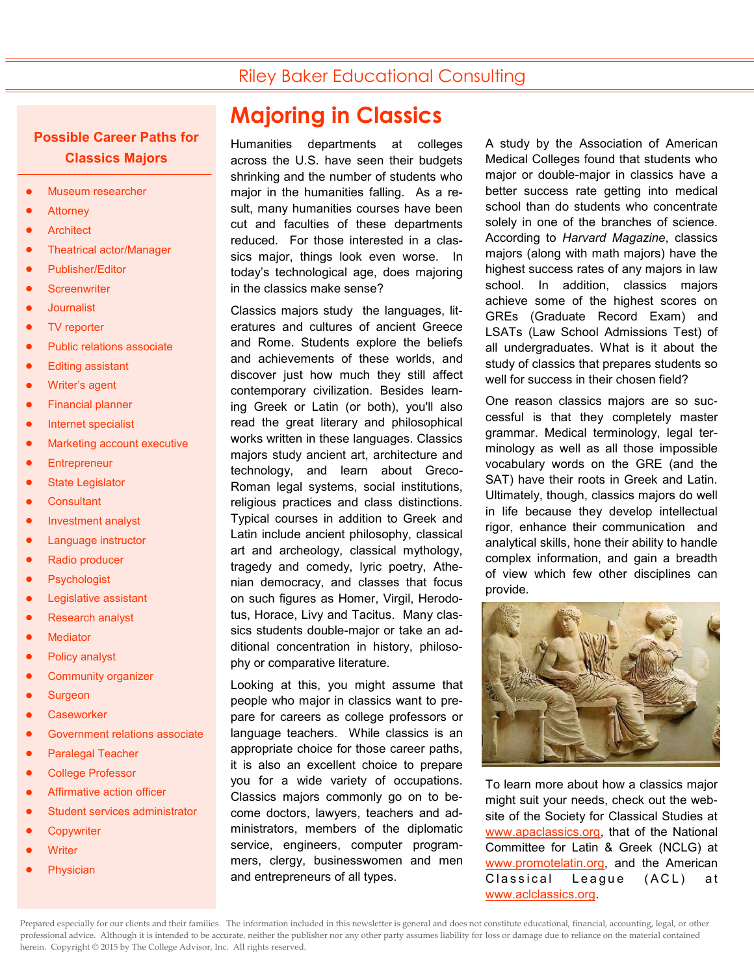## Riley Baker Educational Consulting

#### **Possible Career Paths for Classics Majors**

- Museum researcher
- **Attorney**
- **Architect**
- Theatrical actor/Manager
- Publisher/Editor
- **Screenwriter**
- **Journalist**
- TV reporter
- Public relations associate
- Editing assistant
- Writer's agent
- Financial planner
- Internet specialist
- Marketing account executive
- **Entrepreneur**
- State Legislator
- **Consultant**
- Investment analyst
- Language instructor
- Radio producer
- Psychologist
- Legislative assistant
- Research analyst
- **Mediator**
- Policy analyst
- Community organizer
- **Surgeon**
- **Caseworker**
- Government relations associate
- Paralegal Teacher
- College Professor
- Affirmative action officer
- Student services administrator
- **Copywriter**
- **Writer**
- Physician

## **Majoring in Classics**

Humanities departments at colleges across the U.S. have seen their budgets shrinking and the number of students who major in the humanities falling. As a result, many humanities courses have been cut and faculties of these departments reduced. For those interested in a classics major, things look even worse. In today's technological age, does majoring in the classics make sense?

Classics majors study the languages, literatures and cultures of ancient Greece and Rome. Students explore the beliefs and achievements of these worlds, and discover just how much they still affect contemporary civilization. Besides learning Greek or Latin (or both), you'll also read the great literary and philosophical works written in these languages. Classics majors study ancient art, architecture and technology, and learn about Greco-Roman legal systems, social institutions, religious practices and class distinctions. Typical courses in addition to Greek and Latin include ancient philosophy, classical art and archeology, classical mythology, tragedy and comedy, lyric poetry, Athenian democracy, and classes that focus on such figures as Homer, Virgil, Herodotus, Horace, Livy and Tacitus. Many classics students double-major or take an additional concentration in history, philosophy or comparative literature.

Looking at this, you might assume that people who major in classics want to prepare for careers as college professors or language teachers. While classics is an appropriate choice for those career paths, it is also an excellent choice to prepare you for a wide variety of occupations. Classics majors commonly go on to become doctors, lawyers, teachers and administrators, members of the diplomatic service, engineers, computer programmers, clergy, businesswomen and men and entrepreneurs of all types.

A study by the Association of American Medical Colleges found that students who major or double-major in classics have a better success rate getting into medical school than do students who concentrate solely in one of the branches of science. According to *Harvard Magazine*, classics majors (along with math majors) have the highest success rates of any majors in law school. In addition, classics majors achieve some of the highest scores on GREs (Graduate Record Exam) and LSATs (Law School Admissions Test) of all undergraduates. What is it about the study of classics that prepares students so well for success in their chosen field?

One reason classics majors are so successful is that they completely master grammar. Medical terminology, legal terminology as well as all those impossible vocabulary words on the GRE (and the SAT) have their roots in Greek and Latin. Ultimately, though, classics majors do well in life because they develop intellectual rigor, enhance their communication and analytical skills, hone their ability to handle complex information, and gain a breadth of view which few other disciplines can provide.



To learn more about how a classics major might suit your needs, check out the website of the Society for Classical Studies at [www.apaclassics.org,](http://www.apaclassics.org) that of the National Committee for Latin & Greek (NCLG) at [www.promotelatin.org,](http://www.promotelatin.org) and the American Classical League (ACL) at [www.aclclassics.org.](http://www.aclclassics.org)

Prepared especially for our clients and their families. The information included in this newsletter is general and does not constitute educational, financial, accounting, legal, or other professional advice. Although it is intended to be accurate, neither the publisher nor any other party assumes liability for loss or damage due to reliance on the material contained herein. Copyright © 2015 by The College Advisor, Inc. All rights reserved.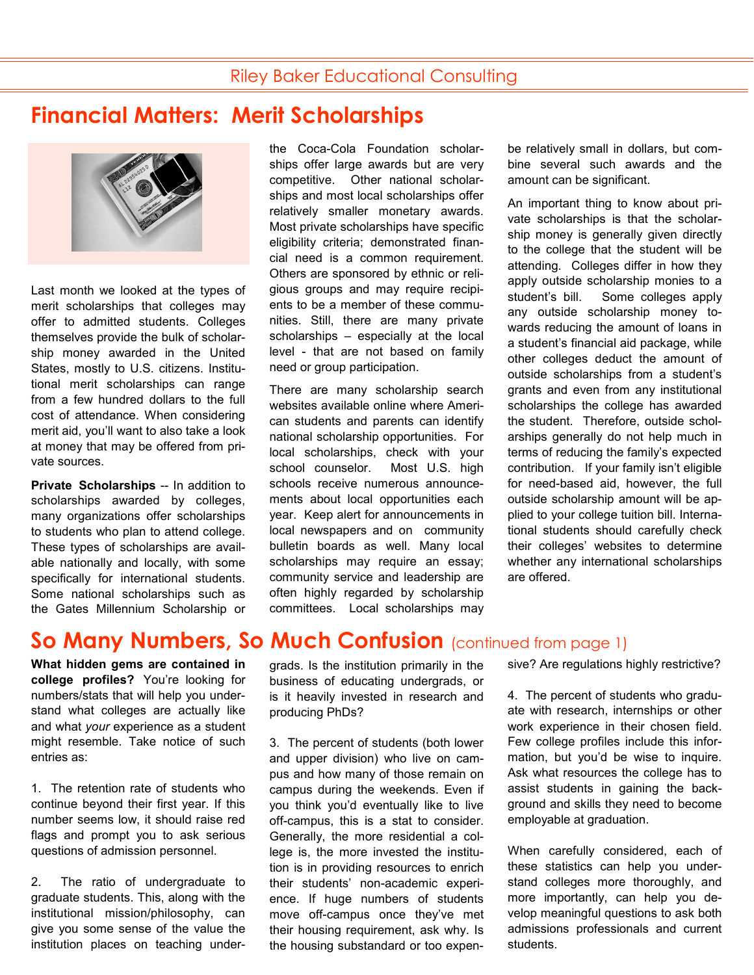# **Financial Matters: Merit Scholarships**



Last month we looked at the types of merit scholarships that colleges may offer to admitted students. Colleges themselves provide the bulk of scholarship money awarded in the United States, mostly to U.S. citizens. Institutional merit scholarships can range from a few hundred dollars to the full cost of attendance. When considering merit aid, you'll want to also take a look at money that may be offered from private sources.

**Private Scholarships** -- In addition to scholarships awarded by colleges, many organizations offer scholarships to students who plan to attend college. These types of scholarships are available nationally and locally, with some specifically for international students. Some national scholarships such as the Gates Millennium Scholarship or

**What hidden gems are contained in college profiles?** You're looking for numbers/stats that will help you understand what colleges are actually like and what *your* experience as a student might resemble. Take notice of such entries as:

1. The retention rate of students who continue beyond their first year. If this number seems low, it should raise red flags and prompt you to ask serious questions of admission personnel.

2. The ratio of undergraduate to graduate students. This, along with the institutional mission/philosophy, can give you some sense of the value the institution places on teaching underthe Coca-Cola Foundation scholarships offer large awards but are very competitive. Other national scholarships and most local scholarships offer relatively smaller monetary awards. Most private scholarships have specific eligibility criteria; demonstrated financial need is a common requirement. Others are sponsored by ethnic or religious groups and may require recipients to be a member of these communities. Still, there are many private scholarships – especially at the local level - that are not based on family need or group participation.

There are many scholarship search websites available online where American students and parents can identify national scholarship opportunities. For local scholarships, check with your school counselor. Most U.S. high schools receive numerous announcements about local opportunities each year. Keep alert for announcements in local newspapers and on community bulletin boards as well. Many local scholarships may require an essay; community service and leadership are often highly regarded by scholarship committees. Local scholarships may be relatively small in dollars, but combine several such awards and the amount can be significant.

An important thing to know about private scholarships is that the scholarship money is generally given directly to the college that the student will be attending. Colleges differ in how they apply outside scholarship monies to a student's bill. Some colleges apply any outside scholarship money towards reducing the amount of loans in a student's financial aid package, while other colleges deduct the amount of outside scholarships from a student's grants and even from any institutional scholarships the college has awarded the student. Therefore, outside scholarships generally do not help much in terms of reducing the family's expected contribution. If your family isn't eligible for need-based aid, however, the full outside scholarship amount will be applied to your college tuition bill. International students should carefully check their colleges' websites to determine whether any international scholarships are offered.

## **So Many Numbers, So Much Confusion** (continued from page 1)

grads. Is the institution primarily in the business of educating undergrads, or is it heavily invested in research and producing PhDs?

3. The percent of students (both lower and upper division) who live on campus and how many of those remain on campus during the weekends. Even if you think you'd eventually like to live off-campus, this is a stat to consider. Generally, the more residential a college is, the more invested the institution is in providing resources to enrich their students' non-academic experience. If huge numbers of students move off-campus once they've met their housing requirement, ask why. Is the housing substandard or too expensive? Are regulations highly restrictive?

4. The percent of students who graduate with research, internships or other work experience in their chosen field. Few college profiles include this information, but you'd be wise to inquire. Ask what resources the college has to assist students in gaining the background and skills they need to become employable at graduation.

When carefully considered, each of these statistics can help you understand colleges more thoroughly, and more importantly, can help you develop meaningful questions to ask both admissions professionals and current students.